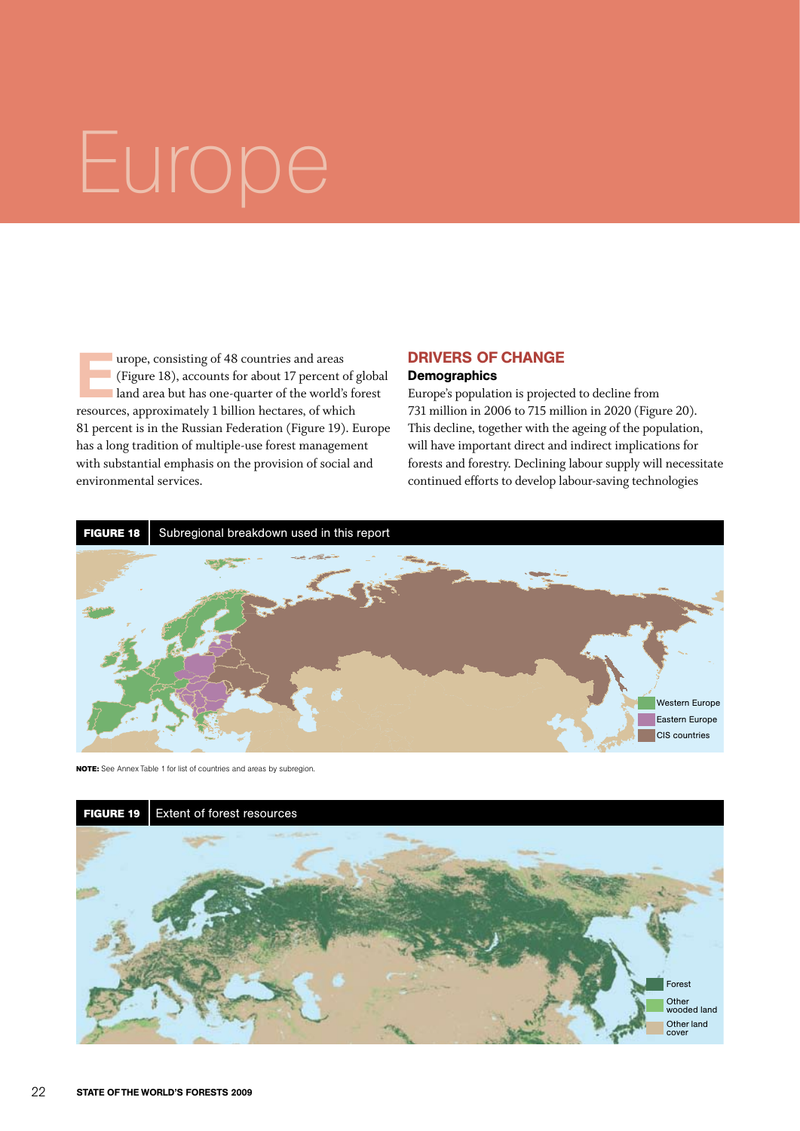# Europe

The urope, consisting of 48 countries and areas<br>
(Figure 18), accounts for about 17 percent of globial<br>
land area but has one-quarter of the world's forest<br>
reserves approximately 1 billion besteres of which (Figure 18), accounts for about 17 percent of global resources, approximately 1 billion hectares, of which 81 percent is in the Russian Federation (Figure 19). Europe has a long tradition of multiple-use forest management with substantial emphasis on the provision of social and environmental services.

# DRIVERS OF CHANGE **Demographics**

Europe's population is projected to decline from 731 million in 2006 to 715 million in 2020 (Figure 20). This decline, together with the ageing of the population, will have important direct and indirect implications for forests and forestry. Declining labour supply will necessitate continued efforts to develop labour-saving technologies



**NOTE:** See Annex Table 1 for list of countries and areas by subregion

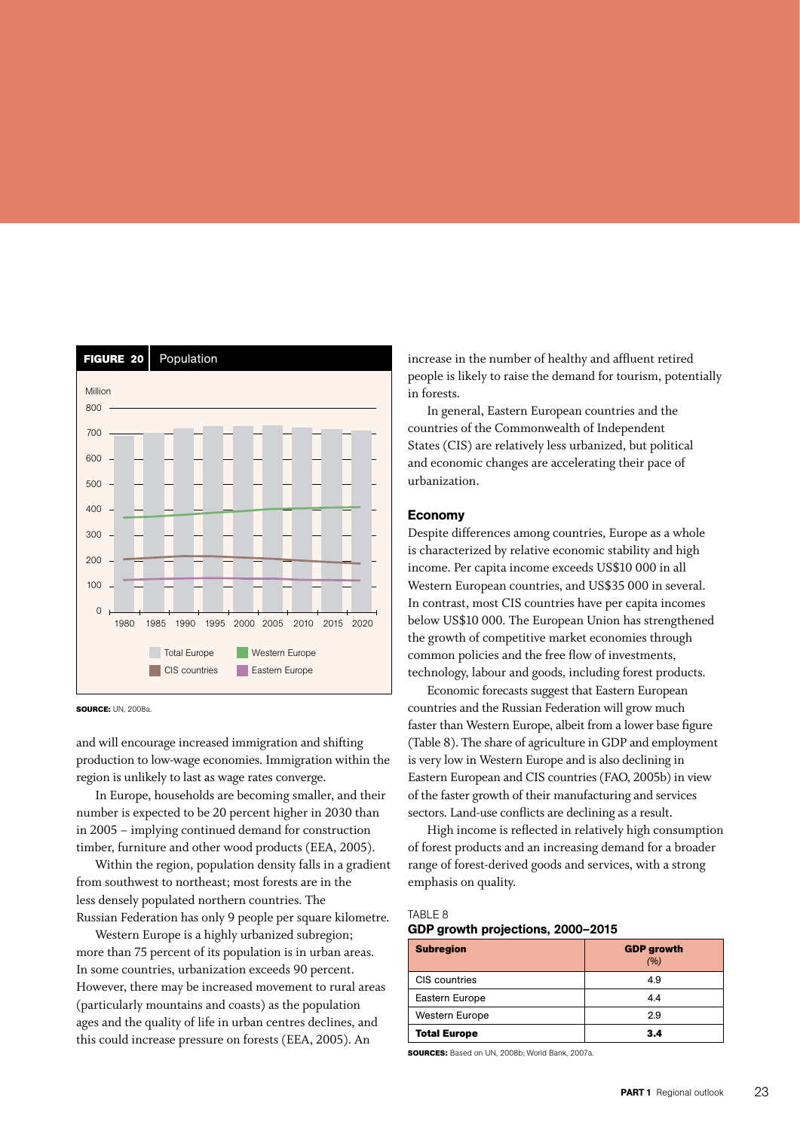

**Source:** UN, 2008a.

and will encourage increased immigration and shifting production to low-wage economies. Immigration within the region is unlikely to last as wage rates converge.

In Europe, households are becoming smaller, and their number is expected to be 20 percent higher in 2030 than in 2005 – implying continued demand for construction timber, furniture and other wood products (EEA, 2005).

Within the region, population density falls in a gradient from southwest to northeast; most forests are in the less densely populated northern countries. The Russian Federation has only 9 people per square kilometre.

Western Europe is a highly urbanized subregion; more than 75 percent of its population is in urban areas. In some countries, urbanization exceeds 90 percent. However, there may be increased movement to rural areas (particularly mountains and coasts) as the population ages and the quality of life in urban centres declines, and this could increase pressure on forests (EEA, 2005). An

increase in the number of healthy and affluent retired people is likely to raise the demand for tourism, potentially in forests.

In general, Eastern European countries and the countries of the Commonwealth of Independent States (CIS) are relatively less urbanized, but political and economic changes are accelerating their pace of urbanization.

#### Economy

Despite differences among countries, Europe as a whole is characterized by relative economic stability and high income. Per capita income exceeds US\$10 000 in all Western European countries, and US\$35 000 in several. In contrast, most CIS countries have per capita incomes below US\$10 000. The European Union has strengthened the growth of competitive market economies through common policies and the free flow of investments, technology, labour and goods, including forest products.

Economic forecasts suggest that Eastern European countries and the Russian Federation will grow much faster than Western Europe, albeit from a lower base figure (Table 8). The share of agriculture in GDP and employment is very low in Western Europe and is also declining in Eastern European and CIS countries (FAO, 2005b) in view of the faster growth of their manufacturing and services sectors. Land-use conflicts are declining as a result.

High income is reflected in relatively high consumption of forest products and an increasing demand for a broader range of forest-derived goods and services, with a strong emphasis on quality.

TARI F 8 GDP growth projections, 2000–2015

| <b>Subregion</b>    | <b>GDP</b> growth<br>(9/0) |
|---------------------|----------------------------|
| CIS countries       | 4.9                        |
| Eastern Europe      | 44                         |
| Western Europe      | 29                         |
| <b>Total Europe</b> | 3.4                        |

**sources:** Based on UN, 2008b; World Bank, 2007a.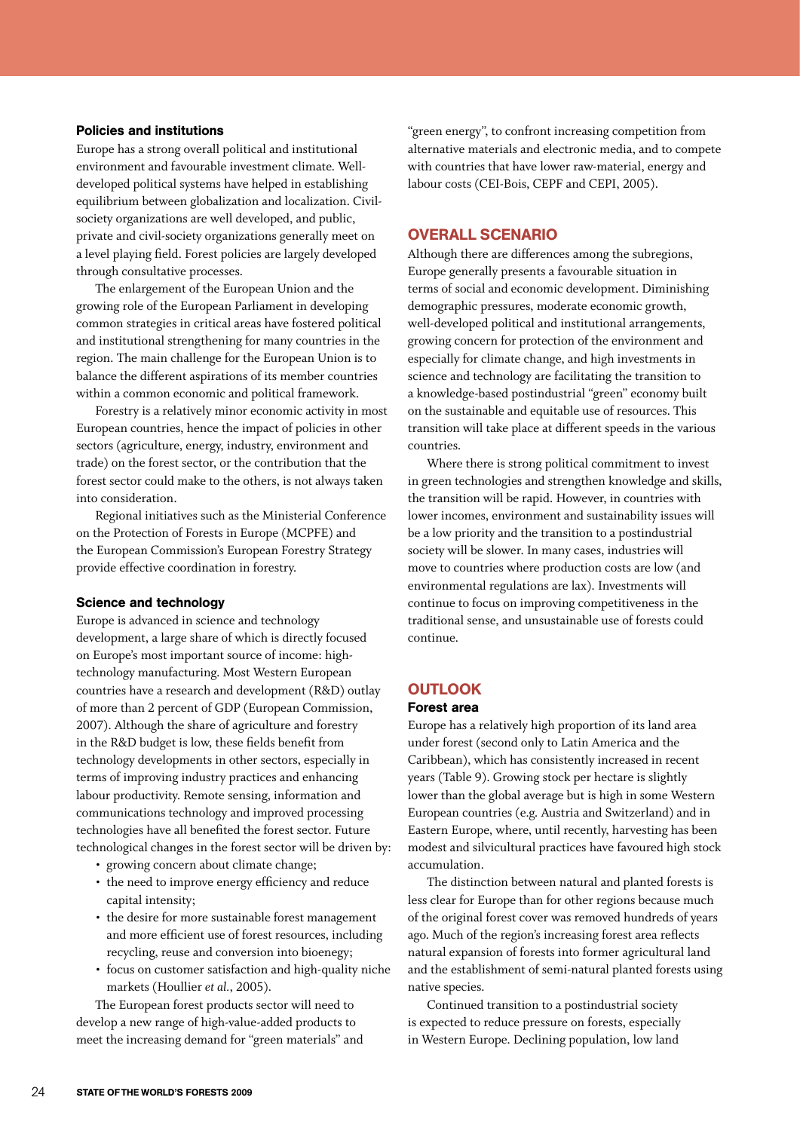#### Policies and institutions

Europe has a strong overall political and institutional environment and favourable investment climate. Welldeveloped political systems have helped in establishing equilibrium between globalization and localization. Civilsociety organizations are well developed, and public, private and civil-society organizations generally meet on a level playing field. Forest policies are largely developed through consultative processes.

The enlargement of the European Union and the growing role of the European Parliament in developing common strategies in critical areas have fostered political and institutional strengthening for many countries in the region. The main challenge for the European Union is to balance the different aspirations of its member countries within a common economic and political framework.

Forestry is a relatively minor economic activity in most European countries, hence the impact of policies in other sectors (agriculture, energy, industry, environment and trade) on the forest sector, or the contribution that the forest sector could make to the others, is not always taken into consideration.

Regional initiatives such as the Ministerial Conference on the Protection of Forests in Europe (MCPFE) and the European Commission's European Forestry Strategy provide effective coordination in forestry.

#### Science and technology

Europe is advanced in science and technology development, a large share of which is directly focused on Europe's most important source of income: hightechnology manufacturing. Most Western European countries have a research and development (R&D) outlay of more than 2 percent of GDP (European Commission, 2007). Although the share of agriculture and forestry in the R&D budget is low, these fields benefit from technology developments in other sectors, especially in terms of improving industry practices and enhancing labour productivity. Remote sensing, information and communications technology and improved processing technologies have all benefited the forest sector. Future technological changes in the forest sector will be driven by:

- growing concern about climate change;
- the need to improve energy efficiency and reduce capital intensity;
- the desire for more sustainable forest management and more efficient use of forest resources, including recycling, reuse and conversion into bioenegy;
- focus on customer satisfaction and high-quality niche markets (Houllier *et al.*, 2005).

The European forest products sector will need to develop a new range of high-value-added products to meet the increasing demand for "green materials" and "green energy", to confront increasing competition from alternative materials and electronic media, and to compete with countries that have lower raw-material, energy and labour costs (CEI-Bois, CEPF and CEPI, 2005).

#### Overall scenario

Although there are differences among the subregions, Europe generally presents a favourable situation in terms of social and economic development. Diminishing demographic pressures, moderate economic growth, well-developed political and institutional arrangements, growing concern for protection of the environment and especially for climate change, and high investments in science and technology are facilitating the transition to a knowledge-based postindustrial "green" economy built on the sustainable and equitable use of resources. This transition will take place at different speeds in the various countries.

Where there is strong political commitment to invest in green technologies and strengthen knowledge and skills, the transition will be rapid. However, in countries with lower incomes, environment and sustainability issues will be a low priority and the transition to a postindustrial society will be slower. In many cases, industries will move to countries where production costs are low (and environmental regulations are lax). Investments will continue to focus on improving competitiveness in the traditional sense, and unsustainable use of forests could continue.

# **OUTLOOK**

#### Forest area

Europe has a relatively high proportion of its land area under forest (second only to Latin America and the Caribbean), which has consistently increased in recent years (Table 9). Growing stock per hectare is slightly lower than the global average but is high in some Western European countries (e.g. Austria and Switzerland) and in Eastern Europe, where, until recently, harvesting has been modest and silvicultural practices have favoured high stock accumulation.

The distinction between natural and planted forests is less clear for Europe than for other regions because much of the original forest cover was removed hundreds of years ago. Much of the region's increasing forest area reflects natural expansion of forests into former agricultural land and the establishment of semi-natural planted forests using native species.

Continued transition to a postindustrial society is expected to reduce pressure on forests, especially in Western Europe. Declining population, low land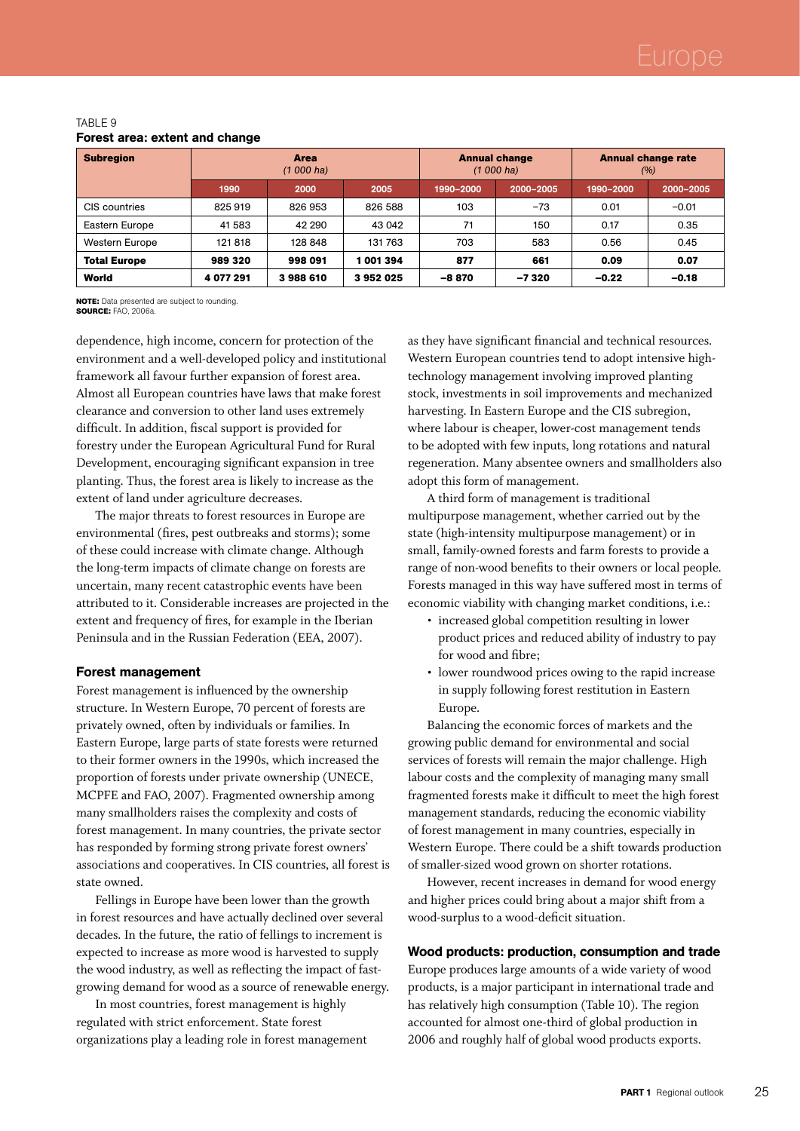### TABLE 9 Forest area: extent and change

| <b>Subregion</b>    | <b>Area</b><br>$(1000)$ ha)  |                                        |         |           | <b>Annual change</b><br>$(1000)$ ha) | <b>Annual change rate</b><br>(%) |         |  |
|---------------------|------------------------------|----------------------------------------|---------|-----------|--------------------------------------|----------------------------------|---------|--|
|                     | 1990                         | 2005<br>2000<br>1990-2000<br>2000-2005 |         | 1990-2000 | 2000-2005                            |                                  |         |  |
| CIS countries       | 825 919                      | 826 953                                | 826 588 | 103       | $-73$                                | 0.01                             | $-0.01$ |  |
| Eastern Europe      | 41 583                       | 42 290                                 | 43 042  | 71        | 150                                  | 0.17                             | 0.35    |  |
| Western Europe      | 121818                       | 128 848                                | 131 763 | 703       | 583                                  | 0.56                             | 0.45    |  |
| <b>Total Europe</b> | 998 091<br>989 320<br>001394 |                                        | 877     | 661       | 0.09                                 | 0.07                             |         |  |
| World               | 4 077 291                    | 3988610                                | 3952025 | -8 870    | $-7320$                              | $-0.22$                          | $-0.18$ |  |

**NOTE:** Data presented are subject to rounding **source:** FAO, 2006a.

dependence, high income, concern for protection of the environment and a well-developed policy and institutional framework all favour further expansion of forest area. Almost all European countries have laws that make forest clearance and conversion to other land uses extremely difficult. In addition, fiscal support is provided for forestry under the European Agricultural Fund for Rural Development, encouraging significant expansion in tree planting. Thus, the forest area is likely to increase as the extent of land under agriculture decreases.

The major threats to forest resources in Europe are environmental (fires, pest outbreaks and storms); some of these could increase with climate change. Although the long-term impacts of climate change on forests are uncertain, many recent catastrophic events have been attributed to it. Considerable increases are projected in the extent and frequency of fires, for example in the Iberian Peninsula and in the Russian Federation (EEA, 2007).

# Forest management

Forest management is influenced by the ownership structure. In Western Europe, 70 percent of forests are privately owned, often by individuals or families. In Eastern Europe, large parts of state forests were returned to their former owners in the 1990s, which increased the proportion of forests under private ownership (UNECE, MCPFE and FAO, 2007). Fragmented ownership among many smallholders raises the complexity and costs of forest management. In many countries, the private sector has responded by forming strong private forest owners' associations and cooperatives. In CIS countries, all forest is state owned.

Fellings in Europe have been lower than the growth in forest resources and have actually declined over several decades. In the future, the ratio of fellings to increment is expected to increase as more wood is harvested to supply the wood industry, as well as reflecting the impact of fastgrowing demand for wood as a source of renewable energy.

In most countries, forest management is highly regulated with strict enforcement. State forest organizations play a leading role in forest management as they have significant financial and technical resources. Western European countries tend to adopt intensive hightechnology management involving improved planting stock, investments in soil improvements and mechanized harvesting. In Eastern Europe and the CIS subregion, where labour is cheaper, lower-cost management tends to be adopted with few inputs, long rotations and natural regeneration. Many absentee owners and smallholders also adopt this form of management.

A third form of management is traditional multipurpose management, whether carried out by the state (high-intensity multipurpose management) or in small, family-owned forests and farm forests to provide a range of non-wood benefits to their owners or local people. Forests managed in this way have suffered most in terms of economic viability with changing market conditions, i.e.:

- increased global competition resulting in lower product prices and reduced ability of industry to pay for wood and fibre;
- lower roundwood prices owing to the rapid increase in supply following forest restitution in Eastern Europe.

Balancing the economic forces of markets and the growing public demand for environmental and social services of forests will remain the major challenge. High labour costs and the complexity of managing many small fragmented forests make it difficult to meet the high forest management standards, reducing the economic viability of forest management in many countries, especially in Western Europe. There could be a shift towards production of smaller-sized wood grown on shorter rotations.

However, recent increases in demand for wood energy and higher prices could bring about a major shift from a wood-surplus to a wood-deficit situation.

# Wood products: production, consumption and trade

Europe produces large amounts of a wide variety of wood products, is a major participant in international trade and has relatively high consumption (Table 10). The region accounted for almost one-third of global production in 2006 and roughly half of global wood products exports.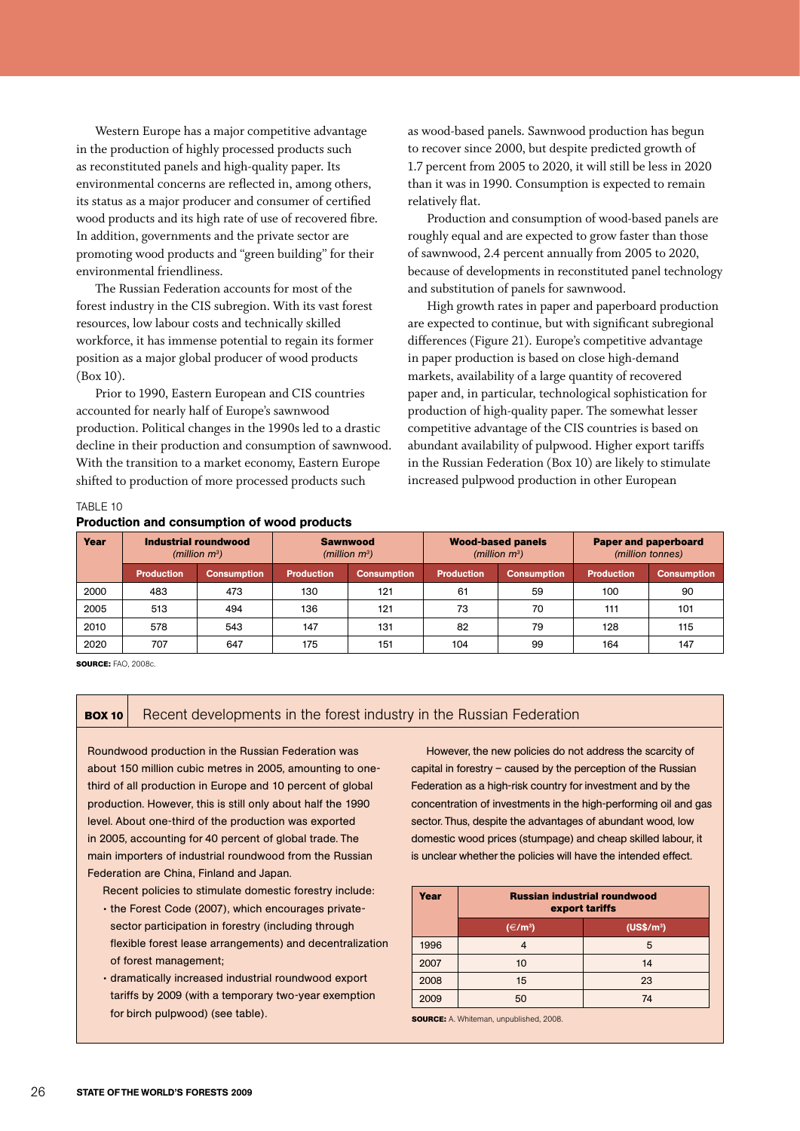Western Europe has a major competitive advantage in the production of highly processed products such as reconstituted panels and high-quality paper. Its environmental concerns are reflected in, among others, its status as a major producer and consumer of certified wood products and its high rate of use of recovered fibre. In addition, governments and the private sector are promoting wood products and "green building" for their environmental friendliness.

The Russian Federation accounts for most of the forest industry in the CIS subregion. With its vast forest resources, low labour costs and technically skilled workforce, it has immense potential to regain its former position as a major global producer of wood products (Box 10).

Prior to 1990, Eastern European and CIS countries accounted for nearly half of Europe's sawnwood production. Political changes in the 1990s led to a drastic decline in their production and consumption of sawnwood. With the transition to a market economy, Eastern Europe shifted to production of more processed products such

as wood-based panels. Sawnwood production has begun to recover since 2000, but despite predicted growth of 1.7 percent from 2005 to 2020, it will still be less in 2020 than it was in 1990. Consumption is expected to remain relatively flat.

Production and consumption of wood-based panels are roughly equal and are expected to grow faster than those of sawnwood, 2.4 percent annually from 2005 to 2020, because of developments in reconstituted panel technology and substitution of panels for sawnwood.

High growth rates in paper and paperboard production are expected to continue, but with significant subregional differences (Figure 21). Europe's competitive advantage in paper production is based on close high-demand markets, availability of a large quantity of recovered paper and, in particular, technological sophistication for production of high-quality paper. The somewhat lesser competitive advantage of the CIS countries is based on abundant availability of pulpwood. Higher export tariffs in the Russian Federation (Box 10) are likely to stimulate increased pulpwood production in other European

TABLE 10

# Production and consumption of wood products

| Year | Industrial roundwood<br>(million $m^3$ ) |                    | <b>Sawnwood</b><br>(million $m^3$ ) |                    |     | <b>Wood-based panels</b><br>(million $m^3$ ) | <b>Paper and paperboard</b><br>(million tonnes) |                    |
|------|------------------------------------------|--------------------|-------------------------------------|--------------------|-----|----------------------------------------------|-------------------------------------------------|--------------------|
|      | <b>Production</b>                        | <b>Consumption</b> | <b>Production</b>                   | <b>Consumption</b> |     | <b>Consumption</b>                           | <b>Production</b>                               | <b>Consumption</b> |
| 2000 | 483                                      | 473                | 130                                 | 121                | 61  | 59                                           | 100                                             | 90                 |
| 2005 | 513                                      | 494                | 136                                 | 121                | 73  | 70                                           | 111                                             | 101                |
| 2010 | 578                                      | 543                | 147                                 | 131                | 82  | 79                                           | 128                                             | 115                |
| 2020 | 707                                      | 647                | 175                                 | 151                | 104 | 99                                           | 164                                             | 147                |

**source:** FAO, 2008c.

# **BOX 10** Recent developments in the forest industry in the Russian Federation

Roundwood production in the Russian Federation was about 150 million cubic metres in 2005, amounting to onethird of all production in Europe and 10 percent of global production. However, this is still only about half the 1990 level. About one-third of the production was exported in 2005, accounting for 40 percent of global trade. The main importers of industrial roundwood from the Russian Federation are China, Finland and Japan.

Recent policies to stimulate domestic forestry include:

- the Forest Code (2007), which encourages privatesector participation in forestry (including through flexible forest lease arrangements) and decentralization of forest management;
- • dramatically increased industrial roundwood export tariffs by 2009 (with a temporary two-year exemption for birch pulpwood) (see table).

However, the new policies do not address the scarcity of capital in forestry – caused by the perception of the Russian Federation as a high-risk country for investment and by the concentration of investments in the high-performing oil and gas sector. Thus, despite the advantages of abundant wood, low domestic wood prices (stumpage) and cheap skilled labour, it is unclear whether the policies will have the intended effect.

| Year          | <b>Russian industrial roundwood</b><br>export tariffs |    |  |  |  |  |
|---------------|-------------------------------------------------------|----|--|--|--|--|
|               | (US\$/m <sup>3</sup> )<br>$(\in / m^3)$               |    |  |  |  |  |
| 1996          | 4                                                     | 5  |  |  |  |  |
| 2007          | 10                                                    | 14 |  |  |  |  |
| 2008          | 15                                                    | 23 |  |  |  |  |
| 2009          | 74<br>50                                              |    |  |  |  |  |
| .<br>$\cdots$ |                                                       |    |  |  |  |  |

**source:** A. Whiteman, unpublished, 2008.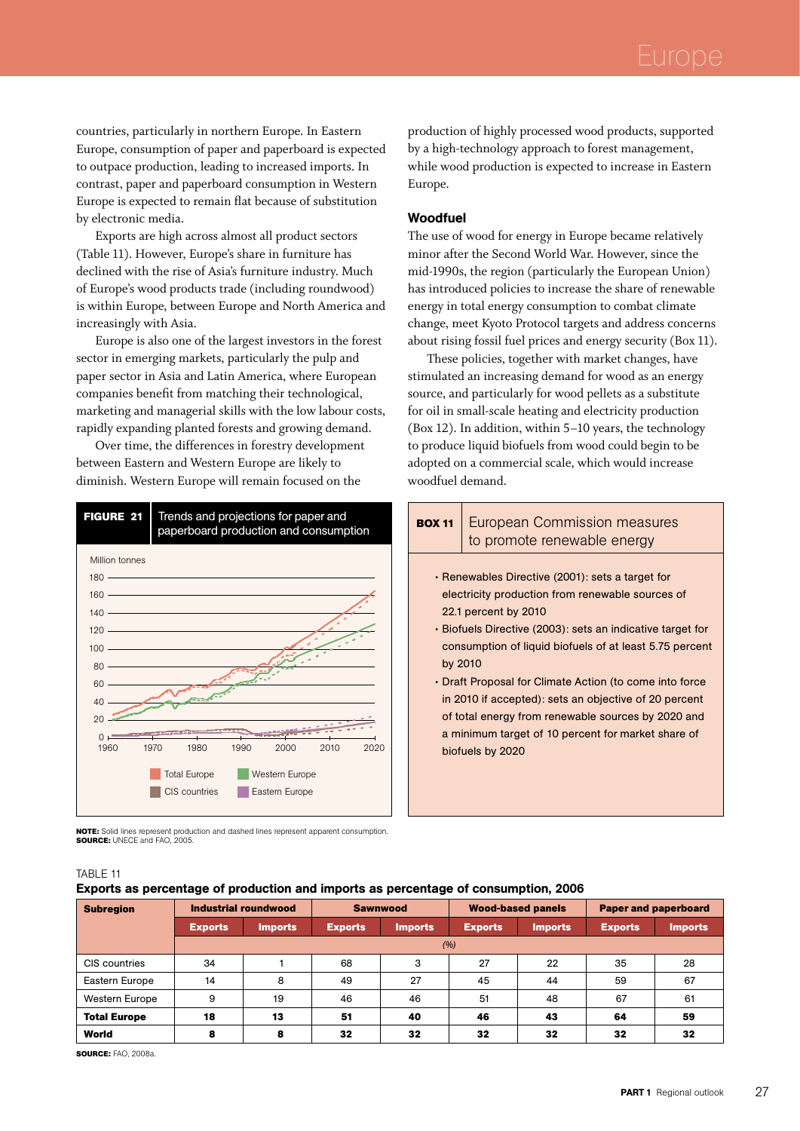countries, particularly in northern Europe. In Eastern Europe, consumption of paper and paperboard is expected to outpace production, leading to increased imports. In contrast, paper and paperboard consumption in Western Europe is expected to remain flat because of substitution by electronic media.

Exports are high across almost all product sectors (Table 11). However, Europe's share in furniture has declined with the rise of Asia's furniture industry. Much of Europe's wood products trade (including roundwood) is within Europe, between Europe and North America and increasingly with Asia.

Europe is also one of the largest investors in the forest sector in emerging markets, particularly the pulp and paper sector in Asia and Latin America, where European companies benefit from matching their technological, marketing and managerial skills with the low labour costs, rapidly expanding planted forests and growing demand.

Over time, the differences in forestry development between Eastern and Western Europe are likely to diminish. Western Europe will remain focused on the



**Note:** Solid lines represent production and dashed lines represent apparent consumption. **Source:** UNECE and FAO, 2005.

production of highly processed wood products, supported by a high-technology approach to forest management, while wood production is expected to increase in Eastern Europe.

# Woodfuel

The use of wood for energy in Europe became relatively minor after the Second World War. However, since the mid-1990s, the region (particularly the European Union) has introduced policies to increase the share of renewable energy in total energy consumption to combat climate change, meet Kyoto Protocol targets and address concerns about rising fossil fuel prices and energy security (Box 11).

These policies, together with market changes, have stimulated an increasing demand for wood as an energy source, and particularly for wood pellets as a substitute for oil in small-scale heating and electricity production (Box 12). In addition, within 5–10 years, the technology to produce liquid biofuels from wood could begin to be adopted on a commercial scale, which would increase woodfuel demand.

| <b>BOX 11</b> | <b>European Commission measures</b><br>to promote renewable energy                                                                                                                                                                                                                                                                                                                                                                                                                                                   |
|---------------|----------------------------------------------------------------------------------------------------------------------------------------------------------------------------------------------------------------------------------------------------------------------------------------------------------------------------------------------------------------------------------------------------------------------------------------------------------------------------------------------------------------------|
|               | • Renewables Directive (2001): sets a target for<br>electricity production from renewable sources of<br>22.1 percent by 2010<br>· Biofuels Directive (2003): sets an indicative target for<br>consumption of liquid biofuels of at least 5.75 percent<br>by 2010<br>• Draft Proposal for Climate Action (to come into force<br>in 2010 if accepted): sets an objective of 20 percent<br>of total energy from renewable sources by 2020 and<br>a minimum target of 10 percent for market share of<br>biofuels by 2020 |

TABLE 11

#### Exports as percentage of production and imports as percentage of consumption, 2006

| <b>Subregion</b>    | Industrial roundwood |                | <b>Sawnwood</b> |                |                | <b>Wood-based panels</b> | <b>Paper and paperboard</b> |                |
|---------------------|----------------------|----------------|-----------------|----------------|----------------|--------------------------|-----------------------------|----------------|
|                     | <b>Exports</b>       | <b>Imports</b> | <b>Exports</b>  | <b>Imports</b> | <b>Exports</b> | Imports                  | <b>Exports</b>              | <b>Imports</b> |
|                     | (%)                  |                |                 |                |                |                          |                             |                |
| CIS countries       | 34                   |                | 68              | 3              | 27             | 22                       | 35                          | 28             |
| Eastern Europe      | 14                   | 8              | 49              | 27             | 45             | 44                       | 59                          | 67             |
| Western Europe      | 9                    | 19             | 46              | 46             | 51             | 48                       | 67                          | 61             |
| <b>Total Europe</b> | 18                   | 13             | 51              | 40             | 46             | 43                       | 64                          | 59             |
| <b>World</b>        | 8                    | 8              | 32              | 32             | 32             | 32                       | 32                          | 32             |

**source:** FAO, 2008a.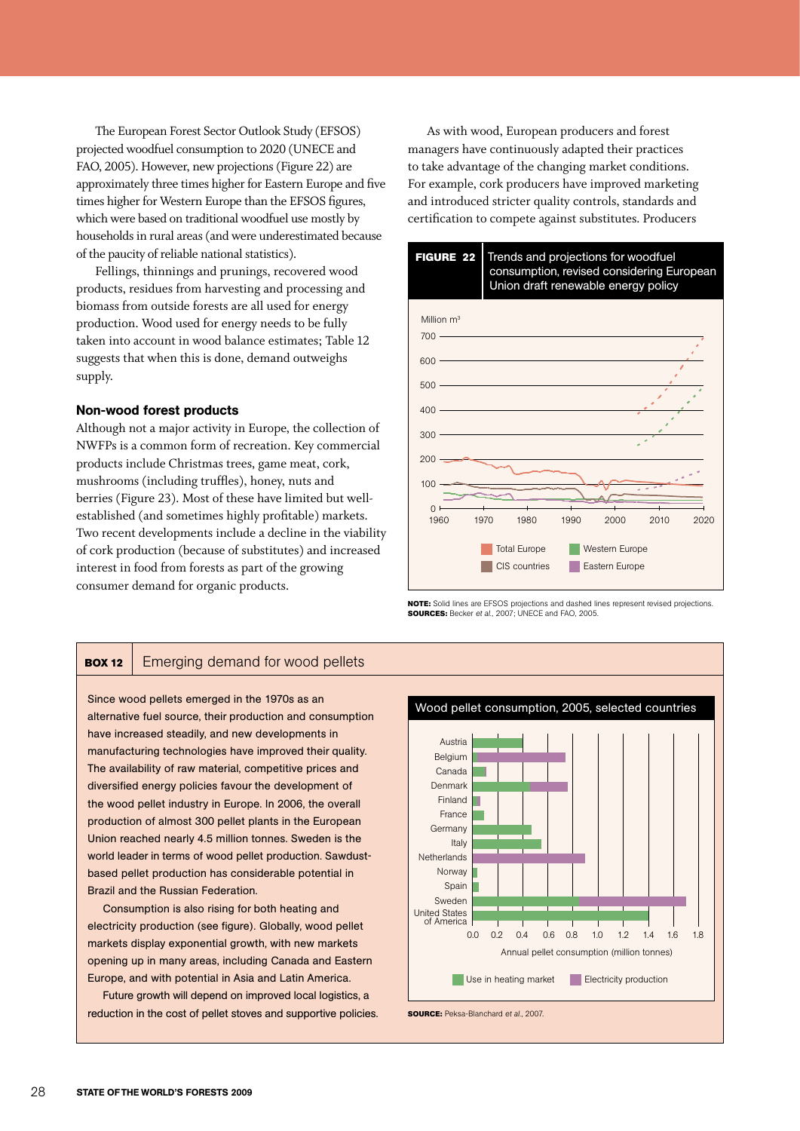The European Forest Sector Outlook Study (EFSOS) projected woodfuel consumption to 2020 (UNECE and FAO, 2005). However, new projections (Figure 22) are approximately three times higher for Eastern Europe and five times higher for Western Europe than the EFSOS figures, which were based on traditional woodfuel use mostly by households in rural areas (and were underestimated because of the paucity of reliable national statistics).

Fellings, thinnings and prunings, recovered wood products, residues from harvesting and processing and biomass from outside forests are all used for energy production. Wood used for energy needs to be fully taken into account in wood balance estimates; Table 12 suggests that when this is done, demand outweighs supply.

#### Non-wood forest products

Although not a major activity in Europe, the collection of NWFPs is a common form of recreation. Key commercial products include Christmas trees, game meat, cork, mushrooms (including truffles), honey, nuts and berries (Figure 23). Most of these have limited but wellestablished (and sometimes highly profitable) markets. Two recent developments include a decline in the viability of cork production (because of substitutes) and increased interest in food from forests as part of the growing consumer demand for organic products.

**BOX 12** Emerging demand for wood pellets

Since wood pellets emerged in the 1970s as an alternative fuel source, their production and consumption have increased steadily, and new developments in manufacturing technologies have improved their quality. The availability of raw material, competitive prices and diversified energy policies favour the development of the wood pellet industry in Europe. In 2006, the overall production of almost 300 pellet plants in the European Union reached nearly 4.5 million tonnes. Sweden is the world leader in terms of wood pellet production. Sawdustbased pellet production has considerable potential in Brazil and the Russian Federation.

Consumption is also rising for both heating and electricity production (see figure). Globally, wood pellet markets display exponential growth, with new markets opening up in many areas, including Canada and Eastern Europe, and with potential in Asia and Latin America.

Future growth will depend on improved local logistics, a reduction in the cost of pellet stoves and supportive policies.

As with wood, European producers and forest managers have continuously adapted their practices to take advantage of the changing market conditions. For example, cork producers have improved marketing and introduced stricter quality controls, standards and certification to compete against substitutes. Producers



**NOTE:** Solid lines are EFSOS projections and dashed lines represent revised projections **SourceS:** Becker *et al.*, 2007; UNECE and FAO, 2005.

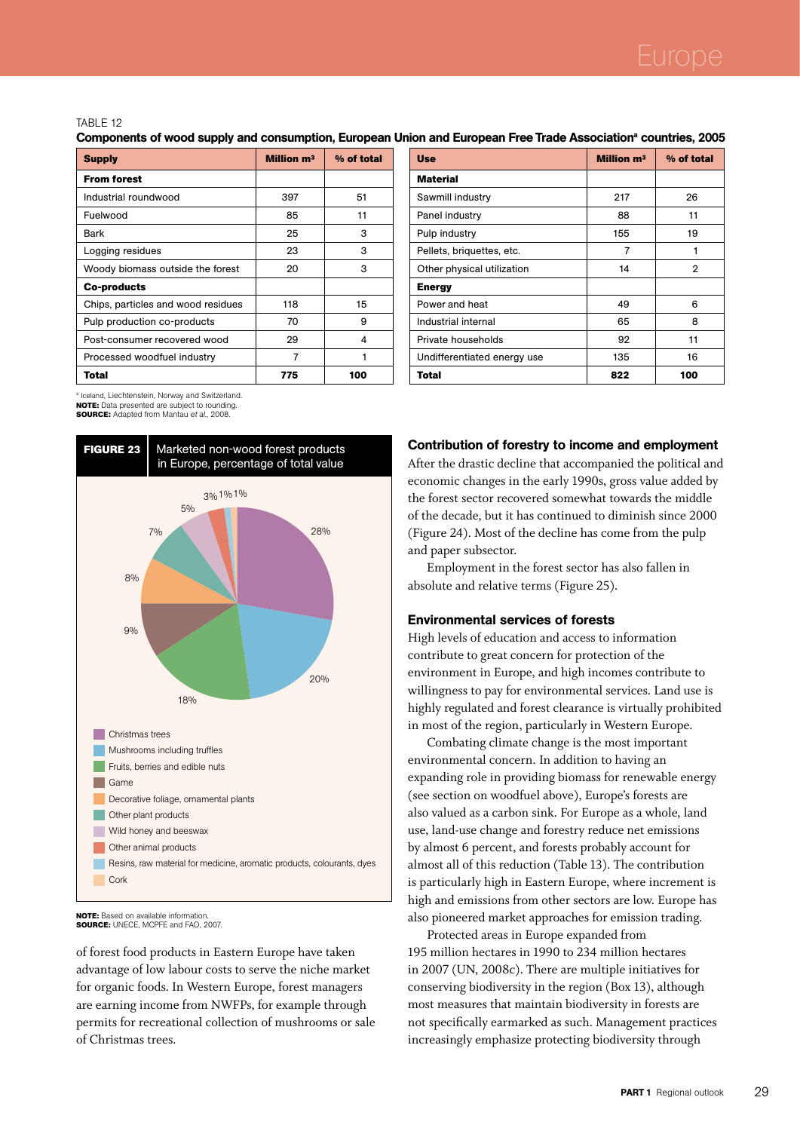#### TARI F 12

Components of wood supply and consumption, European Union and European Free Trade Association<sup>a</sup> countries, 2005

| <b>Supply</b>                      | <b>Million m<sup>3</sup></b> | % of total | <b>Use</b>                  | <b>Million m<sup>3</sup></b> | % of total |
|------------------------------------|------------------------------|------------|-----------------------------|------------------------------|------------|
| <b>From forest</b>                 |                              |            | <b>Material</b>             |                              |            |
| Industrial roundwood               | 397                          | 51         | Sawmill industry            | 217                          | 26         |
| Fuelwood                           | 85                           | 11         | Panel industry              | 88                           | 11         |
| <b>Bark</b>                        | 25                           | 3          | Pulp industry               | 155                          | 19         |
| Logging residues                   | 23                           | 3          | Pellets, briquettes, etc.   |                              |            |
| Woody biomass outside the forest   | 20                           | 3          | Other physical utilization  | 14                           | 2          |
| Co-products                        |                              |            | <b>Energy</b>               |                              |            |
| Chips, particles and wood residues | 118                          | 15         | Power and heat              | 49                           | 6          |
| Pulp production co-products        | 70                           | 9          | Industrial internal         | 65                           | 8          |
| Post-consumer recovered wood       | 29                           | 4          | Private households          | 92                           | 11         |
| Processed woodfuel industry        |                              |            | Undifferentiated energy use | 135                          | 16         |
| <b>Total</b>                       | 775                          | 100        | <b>Total</b>                | 822                          | 100        |

| a Iceland, Liechtenstein, Norway and Switzerland,    |
|------------------------------------------------------|
| <b>NOTE:</b> Data presented are subject to rounding. |

**source:** Adapted from Mantau *et al.,* 2008.



**NOTE:** Based on available information **Source:** UNECE, MCPFE and FAO, 2007.

of forest food products in Eastern Europe have taken advantage of low labour costs to serve the niche market for organic foods. In Western Europe, forest managers are earning income from NWFPs, for example through permits for recreational collection of mushrooms or sale of Christmas trees.

| Contribution of forestry to income and employment |  |  |
|---------------------------------------------------|--|--|

After the drastic decline that accompanied the political and economic changes in the early 1990s, gross value added by the forest sector recovered somewhat towards the middle of the decade, but it has continued to diminish since 2000 (Figure 24). Most of the decline has come from the pulp and paper subsector.

Employment in the forest sector has also fallen in absolute and relative terms (Figure 25).

#### Environmental services of forests

High levels of education and access to information contribute to great concern for protection of the environment in Europe, and high incomes contribute to willingness to pay for environmental services. Land use is highly regulated and forest clearance is virtually prohibited in most of the region, particularly in Western Europe.

Combating climate change is the most important environmental concern. In addition to having an expanding role in providing biomass for renewable energy (see section on woodfuel above), Europe's forests are also valued as a carbon sink. For Europe as a whole, land use, land-use change and forestry reduce net emissions by almost 6 percent, and forests probably account for almost all of this reduction (Table 13). The contribution is particularly high in Eastern Europe, where increment is high and emissions from other sectors are low. Europe has also pioneered market approaches for emission trading.

Protected areas in Europe expanded from 195 million hectares in 1990 to 234 million hectares in 2007 (UN, 2008c). There are multiple initiatives for conserving biodiversity in the region (Box 13), although most measures that maintain biodiversity in forests are not specifically earmarked as such. Management practices increasingly emphasize protecting biodiversity through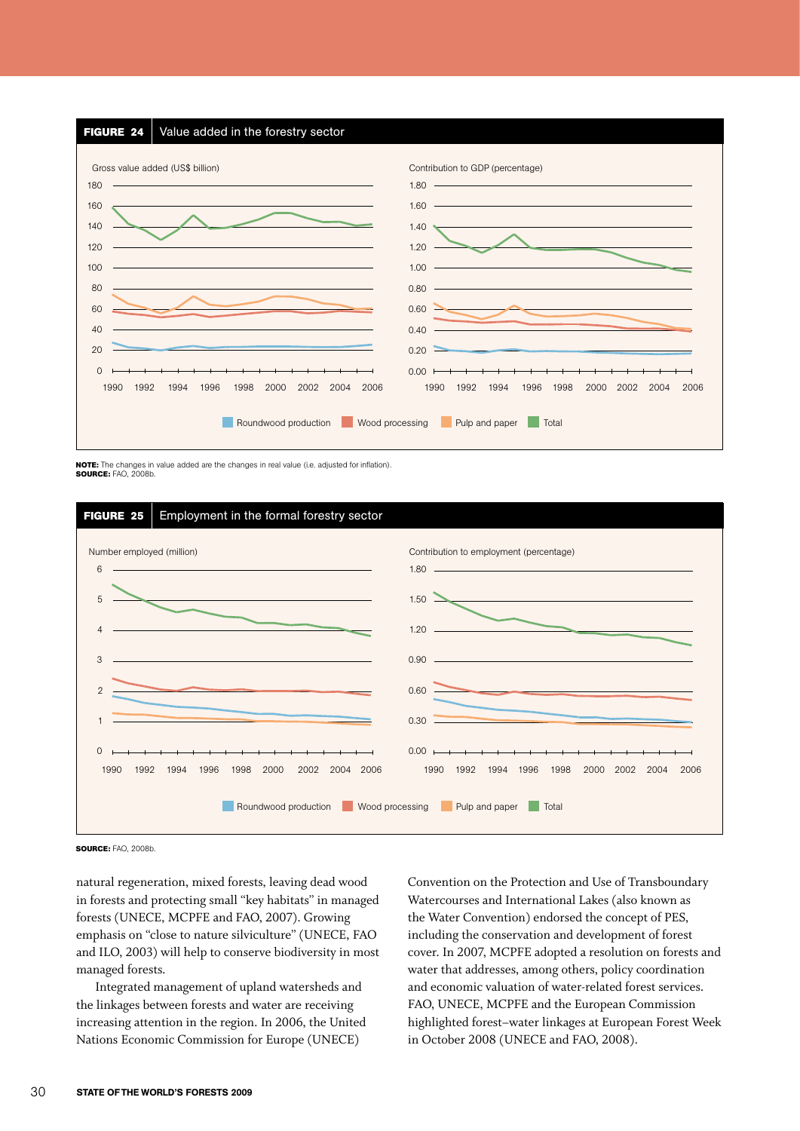

**Note:** The changes in value added are the changes in real value (i.e. adjusted for inflation). **Source:** FAO, 2008b.



**Source:** FAO, 2008b.

natural regeneration, mixed forests, leaving dead wood in forests and protecting small "key habitats" in managed forests (UNECE, MCPFE and FAO, 2007). Growing emphasis on "close to nature silviculture" (UNECE, FAO and ILO, 2003) will help to conserve biodiversity in most managed forests.

Integrated management of upland watersheds and the linkages between forests and water are receiving increasing attention in the region. In 2006, the United Nations Economic Commission for Europe (UNECE)

Convention on the Protection and Use of Transboundary Watercourses and International Lakes (also known as the Water Convention) endorsed the concept of PES, including the conservation and development of forest cover. In 2007, MCPFE adopted a resolution on forests and water that addresses, among others, policy coordination and economic valuation of water-related forest services. FAO, UNECE, MCPFE and the European Commission highlighted forest–water linkages at European Forest Week in October 2008 (UNECE and FAO, 2008).